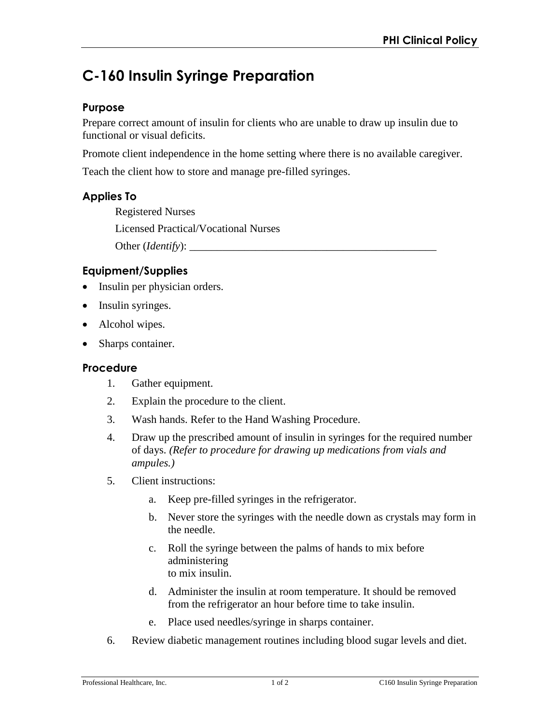# **C-160 Insulin Syringe Preparation**

### **Purpose**

Prepare correct amount of insulin for clients who are unable to draw up insulin due to functional or visual deficits.

Promote client independence in the home setting where there is no available caregiver.

Teach the client how to store and manage pre-filled syringes.

# **Applies To**

Registered Nurses Licensed Practical/Vocational Nurses Other (*Identify*): \_\_\_\_\_\_\_\_\_\_\_\_\_\_\_\_\_\_\_\_\_\_\_\_\_\_\_\_\_\_\_\_\_\_\_\_\_\_\_\_\_\_\_\_\_

## **Equipment/Supplies**

- Insulin per physician orders.
- Insulin syringes.
- Alcohol wipes.
- Sharps container.

## **Procedure**

- 1. Gather equipment.
- 2. Explain the procedure to the client.
- 3. Wash hands. Refer to the Hand Washing Procedure.
- 4. Draw up the prescribed amount of insulin in syringes for the required number of days. *(Refer to procedure for drawing up medications from vials and ampules.)*
- 5. Client instructions:
	- a. Keep pre-filled syringes in the refrigerator.
	- b. Never store the syringes with the needle down as crystals may form in the needle.
	- c. Roll the syringe between the palms of hands to mix before administering to mix insulin.
	- d. Administer the insulin at room temperature. It should be removed from the refrigerator an hour before time to take insulin.
	- e. Place used needles/syringe in sharps container.
- 6. Review diabetic management routines including blood sugar levels and diet.